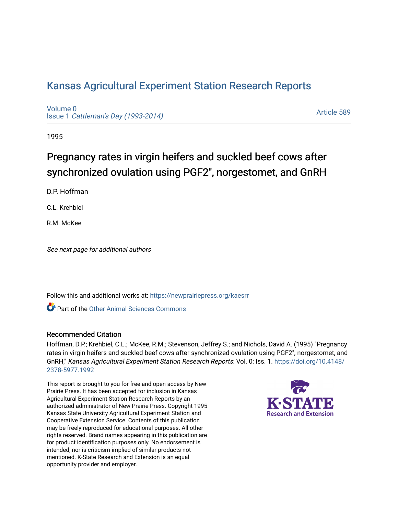# [Kansas Agricultural Experiment Station Research Reports](https://newprairiepress.org/kaesrr)

[Volume 0](https://newprairiepress.org/kaesrr/vol0) Issue 1 [Cattleman's Day \(1993-2014\)](https://newprairiepress.org/kaesrr/vol0/iss1) 

[Article 589](https://newprairiepress.org/kaesrr/vol0/iss1/589) 

1995

# Pregnancy rates in virgin heifers and suckled beef cows after synchronized ovulation using PGF2", norgestomet, and GnRH

D.P. Hoffman

C.L. Krehbiel

R.M. McKee

See next page for additional authors

Follow this and additional works at: [https://newprairiepress.org/kaesrr](https://newprairiepress.org/kaesrr?utm_source=newprairiepress.org%2Fkaesrr%2Fvol0%2Fiss1%2F589&utm_medium=PDF&utm_campaign=PDFCoverPages) 

Part of the [Other Animal Sciences Commons](http://network.bepress.com/hgg/discipline/82?utm_source=newprairiepress.org%2Fkaesrr%2Fvol0%2Fiss1%2F589&utm_medium=PDF&utm_campaign=PDFCoverPages)

#### Recommended Citation

Hoffman, D.P.; Krehbiel, C.L.; McKee, R.M.; Stevenson, Jeffrey S.; and Nichols, David A. (1995) "Pregnancy rates in virgin heifers and suckled beef cows after synchronized ovulation using PGF2", norgestomet, and GnRH," Kansas Agricultural Experiment Station Research Reports: Vol. 0: Iss. 1. [https://doi.org/10.4148/](https://doi.org/10.4148/2378-5977.1992) [2378-5977.1992](https://doi.org/10.4148/2378-5977.1992) 

This report is brought to you for free and open access by New Prairie Press. It has been accepted for inclusion in Kansas Agricultural Experiment Station Research Reports by an authorized administrator of New Prairie Press. Copyright 1995 Kansas State University Agricultural Experiment Station and Cooperative Extension Service. Contents of this publication may be freely reproduced for educational purposes. All other rights reserved. Brand names appearing in this publication are for product identification purposes only. No endorsement is intended, nor is criticism implied of similar products not mentioned. K-State Research and Extension is an equal opportunity provider and employer.

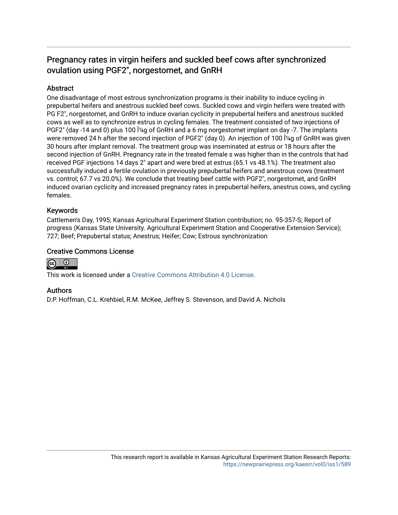# Pregnancy rates in virgin heifers and suckled beef cows after synchronized ovulation using PGF2", norgestomet, and GnRH

# **Abstract**

One disadvantage of most estrous synchronization programs is their inability to induce cycling in prepubertal heifers and anestrous suckled beef cows. Suckled cows and virgin heifers were treated with PG F2", norgestomet, and GnRH to induce ovarian cyclicity in prepubertal heifers and anestrous suckled cows as well as to synchronize estrus in cycling females. The treatment consisted of two injections of PGF2" (day -14 and 0) plus 100  $\hat{I}4q$  of GnRH and a 6 mg norgestomet implant on day -7. The implants were removed 24 h after the second injection of PGF2" (day 0). An injection of 100 1<sup>'</sup>/<sub>4g</sub> of GnRH was given 30 hours after implant removal. The treatment group was inseminated at estrus or 18 hours after the second injection of GnRH. Pregnancy rate in the treated female s was higher than in the controls that had received PGF injections 14 days 2" apart and were bred at estrus (65.1 vs 48.1%). The treatment also successfully induced a fertile ovulation in previously prepubertal heifers and anestrous cows (treatment vs. control; 67.7 vs 20.0%). We conclude that treating beef cattle with PGF2", norgestomet, and GnRH induced ovarian cyclicity and increased pregnancy rates in prepubertal heifers, anestrus cows, and cycling females.

## Keywords

Cattlemen's Day, 1995; Kansas Agricultural Experiment Station contribution; no. 95-357-S; Report of progress (Kansas State University. Agricultural Experiment Station and Cooperative Extension Service); 727; Beef; Prepubertal status; Anestrus; Heifer; Cow; Estrous synchronization

## Creative Commons License



This work is licensed under a [Creative Commons Attribution 4.0 License](https://creativecommons.org/licenses/by/4.0/).

#### Authors

D.P. Hoffman, C.L. Krehbiel, R.M. McKee, Jeffrey S. Stevenson, and David A. Nichols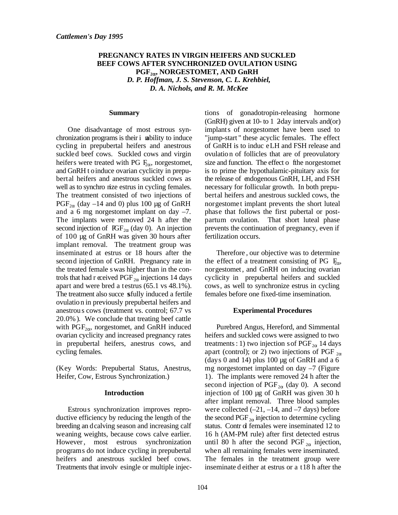## **PREGNANCY RATES IN VIRGIN HEIFERS AND SUCKLED BEEF COWS AFTER SYNCHRONIZED OVULATION USING** PGF<sub>2</sub><sup>0</sup>, NORGESTOMET, AND GnRH *D. P. Hoffman, J. S. Stevenson, C. L. Krehbiel, D. A. Nichols, and R. M. McKee*

#### **Summary**

One disadvantage of most estrous synchronization programs is their i nability to induce cycling in prepubertal heifers and anestrous suckled beef cows. Suckled cows and virgin heifers were treated with PG  $F_{\alpha}$ , norgestomet, and GnRH t o induce ovarian cyclicity in prepubertal heifers and anestrous suckled cows as well as to synchro nize estrus in cycling females. The treatment consisted of two injections of  $PGF_{2\alpha}$  (day –14 and 0) plus 100 µg of GnRH and a 6 mg norgestomet implant on day –7. The implants were removed 24 h after the second injection of  $\text{IGF}_{2\alpha}$  (day 0). An injection of 100 µg of GnRH was given 30 hours after implant removal. The treatment group was inseminated at estrus or 18 hours after the second injection of GnRH. Pregnancy rate in the treated female s was higher than in the controls that had r eceived PGF  $_{2\alpha}$  injections 14 days apart and were bred a t estrus (65.1 vs 48.1%). The treatment also succe sfully induced a fertile ovulatio n in previously prepubertal heifers and anestrou s cows (treatment vs. control; 67.7 vs 20.0% ). We conclude that treating beef cattle with  $PGF_{2\alpha}$ , norgestomet, and GnRH induced ovarian cyclicity and increased pregnancy rates in prepubertal heifers, anestrus cows, and cycling females.

(Key Words: Prepubertal Status, Anestrus, Heifer, Cow, Estrous Synchronization.)

#### **Introduction**

Estrous synchronization improves reproductive efficiency by reducing the length of the breeding an d calving season and increasing calf weaning weights, because cows calve earlier. However, most estrous synchronization programs do not induce cycling in prepubertal heifers and anestrous suckled beef cows. Treatments that involv esingle or multiple injections of gonadotropin-releasing hormone (GnRH) given at 10- to 1  $2$ day intervals and(or) implants of norgestomet have been used to "jump-start " these acyclic females. The effect of GnRH is to induc e LH and FSH release and ovulatio n of follicles that are of preovulatory size and function. The effect o file norgestomet is to prime the hypothalamic-pituitary axis for the release of endogenous GnRH, LH, and FSH necessary for follicular growth. In both prepubertal heifers and anestrous suckled cows, the norgestomet implant prevents the short luteal phase that follows the first pubertal or postpartum ovulation. That short luteal phase prevents the continuation of pregnancy, even if fertilization occurs.

Therefore , our objective was to determine the effect of a treatment consisting of PG  $F_{\alpha}$ , norgestomet , and GnRH on inducing ovarian cyclicity in prepubertal heifers and suckled cows, as well to synchronize estrus in cycling females before one fixed-time insemination.

#### **Experimental Procedures**

Purebred Angus, Hereford, and Simmental heifers and suckled cows were assigned to two treatments : 1) two injection s of  $PGF_{2\alpha}$  14 days apart (control); or 2) two injections of PGF  $_{2\alpha}$ (days 0 and 14) plus 100  $\mu$ g of GnRH and a 6 mg norgestomet implanted on day –7 (Figure 1). The implants were removed 24 h after the second injection of PGF<sub>2 $\alpha$ </sub> (day 0). A second injection of 100 µg of GnRH was given 30 h after implant removal. Three blood samples were collected  $(-21, -14, \text{ and } -7 \text{ days})$  before the second PGF  $_{2\alpha}$  injection to determine cycling status. Contr of females were inseminated 12 to 16 h (AM-PM rule) after first detected estrus until 80 h after the second PGF  $_{2\alpha}$  injection, when all remaining females were inseminated. The females in the treatment group were inseminate d either at estrus or a t 18 h after the